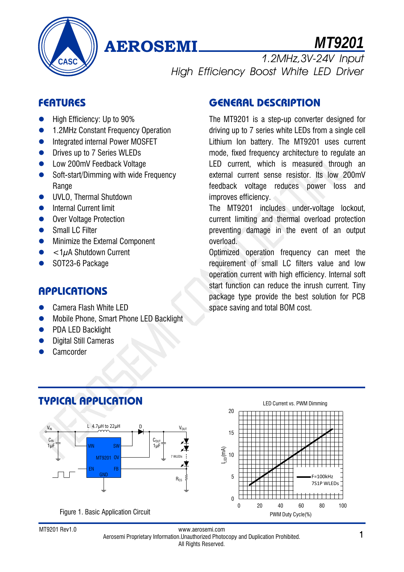

# **AEROSEMI** *MT9201*

1.2MHz,3V-24V Input High Efficiency Boost White LED Driver

## **FEATURES**

- High Efficiency: Up to 90%
- 1.2MHz Constant Frequency Operation
- **•** Integrated internal Power MOSFET
- **•** Drives up to 7 Series WLEDs
- **Low 200mV Feedback Voltage**
- Soft-start/Dimming with wide Frequency Range
- **UVLO, Thermal Shutdown**
- **•** Internal Current limit
- Over Voltage Protection
- Small LC Filter
- **•** Minimize the External Component
- $<$ 1 $\mu$ A Shutdown Current
- SOT23-6 Package

### **APPLICATIONS**

- Camera Flash White LED
- Mobile Phone, Smart Phone LED Backlight
- PDA LED Backlight
- Digital Still Cameras
- Camcorder

## **GENERAL DESCRIPTION**

The MT9201 is a step-up converter designed for driving up to 7 series white LEDs from a single cell Lithium Ion battery. The MT9201 uses current mode, fixed frequency architecture to regulate an LED current, which is measured through an external current sense resistor. Its low 200mV feedback voltage reduces power loss and improves efficiency.

The MT9201 includes under-voltage lockout, current limiting and thermal overload protection preventing damage in the event of an output overload.

Optimized operation frequency can meet the requirement of small LC filters value and low operation current with high efficiency. Internal soft start function can reduce the inrush current. Tiny package type provide the best solution for PCB space saving and total BOM cost.



www.aerosemi.com Aerosemi Proprietary Information.Unauthorized Photocopy and Duplication Prohibited. MT9201 Rev1.0 1 All Rights Reserved.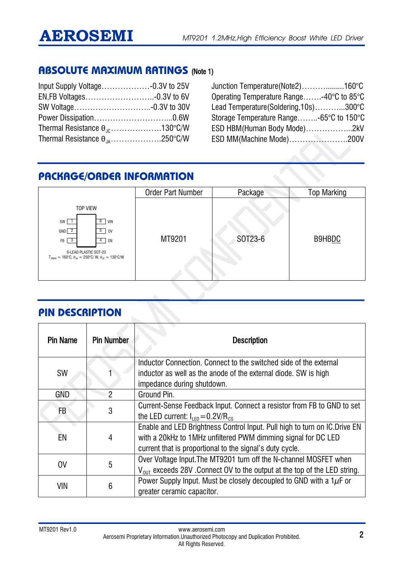### **ABSOLUTE MAXIMUM RATINGS** (Note 1)

| Thermal Resistance $\theta_{10}$ 130°C/W |  |
|------------------------------------------|--|
| Thermal Resistance $\theta_{.A}$ 250°C/W |  |

Junction Temperature(Note2)……….........160°C Operating Temperature Range…….-40°C to 85°C Lead Temperature(Soldering,10s)………...300°C Storage Temperature Range……..-65°C to 150°C ESD HBM(Human Body Mode)……………...2kV ESD MM(Machine Mode)………………….200V

## **PACKAGE/ORDER INFORMATION**

|                                                                                                                                                                                                                                                  | <b>Order Part Number</b> | Package | <b>Top Marking</b> |
|--------------------------------------------------------------------------------------------------------------------------------------------------------------------------------------------------------------------------------------------------|--------------------------|---------|--------------------|
| <b>TOP VIEW</b><br>$6$ VIN<br>SW  <br>- 1<br>$GND$ $2$<br>$5 \mid 0V$<br>$\overline{\mathbf{3}}$<br><b>FB</b><br>EN<br>4<br>6-LEAD PLASTIC SOT-23<br>$T_{JMAX} = 160^{\circ}C$ , $\theta_{JA} = 250^{\circ}C/W$ , $\theta_{JC} = 130^{\circ}C/W$ | MT9201                   | SOT23-6 | B9HBDC             |

### **PIN DESCRIPTION**

| <b>Pin Name</b> | <b>Pin Number</b> | <b>Description</b>                                                                                                                                                                                      |
|-----------------|-------------------|---------------------------------------------------------------------------------------------------------------------------------------------------------------------------------------------------------|
| <b>SW</b>       |                   | Inductor Connection. Connect to the switched side of the external<br>inductor as well as the anode of the external diode. SW is high<br>impedance during shutdown.                                      |
| <b>GND</b>      | $\mathcal{P}$     | Ground Pin.                                                                                                                                                                                             |
| FB              | 3                 | Current-Sense Feedback Input. Connect a resistor from FB to GND to set<br>the LED current: $I_{IFD} = 0.2 V/R_{CS}$                                                                                     |
| EN              | 4                 | Enable and LED Brightness Control Input. Pull high to turn on IC. Drive EN<br>with a 20kHz to 1MHz unfiltered PWM dimming signal for DC LED<br>current that is proportional to the signal's duty cycle. |
| <sub>0</sub> V  | 5                 | Over Voltage Input. The MT9201 turn off the N-channel MOSFET when<br>$V_{\text{diff}}$ exceeds 28V . Connect OV to the output at the top of the LED string.                                             |
| VIN             | 6                 | Power Supply Input. Must be closely decoupled to GND with a $1\mu$ F or<br>greater ceramic capacitor.                                                                                                   |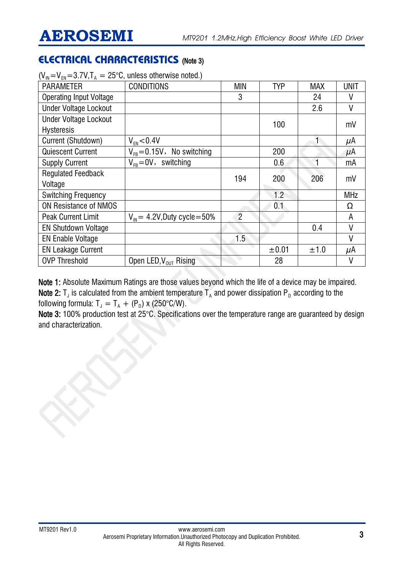## **ELECTRICAL CHARACTERISTICS** (Note 3)

| . FN<br>$\sim$ $_{\rm A}$      |                                          |                |            |            |             |
|--------------------------------|------------------------------------------|----------------|------------|------------|-------------|
| <b>PARAMETER</b>               | <b>CONDITIONS</b>                        | <b>MIN</b>     | <b>TYP</b> | <b>MAX</b> | <b>UNIT</b> |
| <b>Operating Input Voltage</b> |                                          | 3              |            | 24         | V           |
| <b>Under Voltage Lockout</b>   |                                          |                |            | 2.6        | ٧           |
| <b>Under Voltage Lockout</b>   |                                          |                | 100        |            | mV          |
| <b>Hysteresis</b>              |                                          |                |            |            |             |
| Current (Shutdown)             | $V_{FN}$ < 0.4V                          |                |            |            | μA          |
| <b>Quiescent Current</b>       | $V_{FB} = 0.15V$ , No switching          |                | 200        |            | $\mu$ A     |
| <b>Supply Current</b>          | $V_{FB} = 0V$ , switching                |                | 0.6        | 4          | mA          |
| <b>Regulated Feedback</b>      |                                          | 194            | 200        | 206        | mV          |
| Voltage                        |                                          |                |            |            |             |
| <b>Switching Frequency</b>     |                                          |                | 1.2        |            | <b>MHz</b>  |
| <b>ON Resistance of NMOS</b>   |                                          |                | 0.1        |            | Ω           |
| <b>Peak Current Limit</b>      | $V_{\text{IN}}$ = 4.2V, Duty cycle = 50% | $\overline{2}$ |            |            | A           |
| <b>EN Shutdown Voltage</b>     |                                          |                |            | 0.4        | ۷           |
| <b>EN Enable Voltage</b>       |                                          | 1.5            |            |            | V           |
| <b>EN Leakage Current</b>      |                                          |                | ±0.01      | ±1.0       | μA          |
| <b>OVP Threshold</b>           | Open LED, $V_{OUT}$ Rising               |                | 28         |            | ۷           |

 $(V_{in}=V_{in}=3.7V$ ,  $T_{i}=25^{\circ}$ C, unless otherwise noted.)

Note 1: Absolute Maximum Ratings are those values beyond which the life of a device may be impaired. Note 2:  $T_J$  is calculated from the ambient temperature  $T_A$  and power dissipation P<sub>D</sub> according to the following formula:  $T_J = T_A + (P_D) \times (250^{\circ} \text{C/W}).$ 

Note 3: 100% production test at 25°C. Specifications over the temperature range are guaranteed by design and characterization.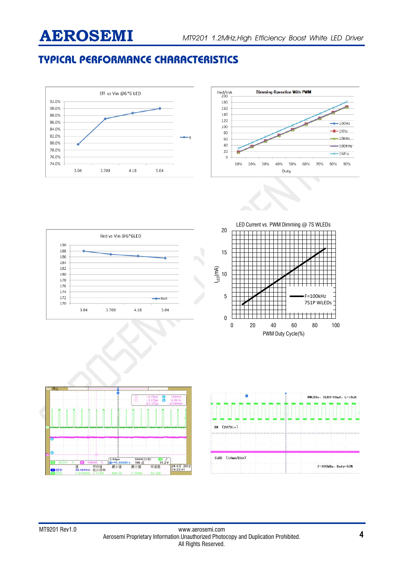## **TYPICAL PERFORMANCE CHARACTERISTICS**





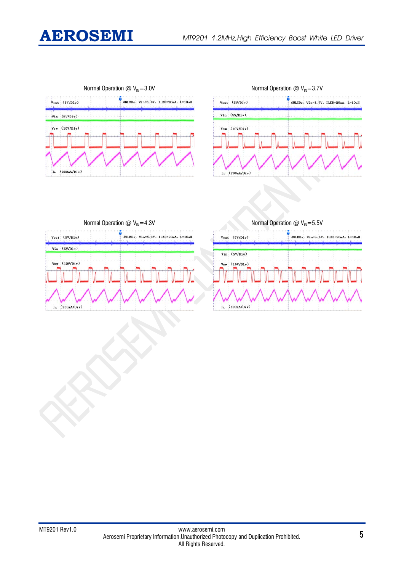







| Normal Operation $@V_{\text{IN}}=4.3V$ |  |
|----------------------------------------|--|
|----------------------------------------|--|

|       | Vout (SV/Div)      | 4WLEDs, Vin=4.3V, ILED=20mA, L=10uH |
|-------|--------------------|-------------------------------------|
|       | Vin (5V/Div)       |                                     |
|       | $V_{SW}$ (10V/Div) |                                     |
| $I_L$ | (200mA/Div)        |                                     |

Normal Operation @  $V_{\text{IN}}=5.5V$ 

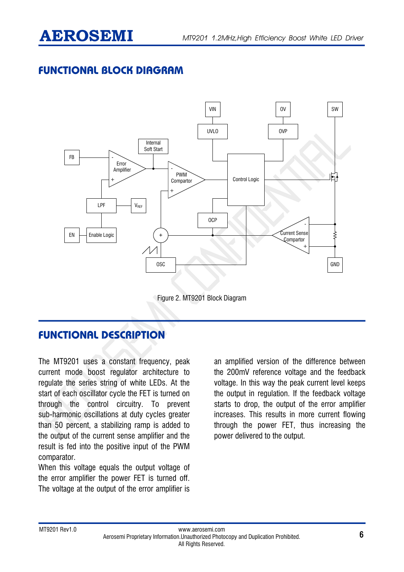## **FUNCTIONAL BLOCK DIAGRAM**



Figure 2. MT9201 Block Diagram

## **FUNCTIONAL DESCRIPTION**

The MT9201 uses a constant frequency, peak current mode boost regulator architecture to regulate the series string of white LEDs. At the start of each oscillator cycle the FET is turned on through the control circuitry. To prevent sub-harmonic oscillations at duty cycles greater than 50 percent, a stabilizing ramp is added to the output of the current sense amplifier and the result is fed into the positive input of the PWM comparator.

When this voltage equals the output voltage of the error amplifier the power FET is turned off. The voltage at the output of the error amplifier is

an amplified version of the difference between the 200mV reference voltage and the feedback voltage. In this way the peak current level keeps the output in regulation. If the feedback voltage starts to drop, the output of the error amplifier increases. This results in more current flowing through the power FET, thus increasing the power delivered to the output.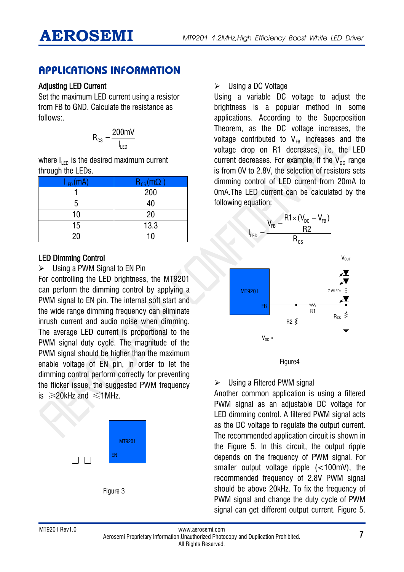### **APPLICATIONS INFORMATION**

#### Adjusting LED Current

Set the maximum LED current using a resistor from FB to GND. Calculate the resistance as follows:.

$$
R_{cs} = \frac{200 \text{mV}}{I_{LED}}
$$

where  $I_{\text{LED}}$  is the desired maximum current through the LEDs.

| $I_{LED}(mA)$ | $R_{cs}(m\Omega)$ |
|---------------|-------------------|
|               | $\frac{1}{200}$   |
| 5             | 40                |
| 10            | 20                |
| 15            | 13.3              |
| ንበ            | 10                |

#### LED Dimming Control

 $\triangleright$  Using a PWM Signal to EN Pin

For controlling the LED brightness, the MT9201 can perform the dimming control by applying a PWM signal to EN pin. The internal soft start and the wide range dimming frequency can eliminate inrush current and audio noise when dimming. The average LED current is proportional to the PWM signal duty cycle. The magnitude of the PWM signal should be higher than the maximum enable voltage of EN pin, in order to let the dimming control perform correctly for preventing the flicker issue, the suggested PWM frequency is  $≥20$ kHz and  $≤1$ MHz.





Using a DC Voltage

Using a variable DC voltage to adjust the brightness is a popular method in some applications. According to the Superposition Theorem, as the DC voltage increases, the voltage contributed to  $V_{FR}$  increases and the voltage drop on R1 decreases, i.e. the LED current decreases. For example, if the  $V_{DC}$  range is from 0V to 2.8V, the selection of resistors sets dimming control of LED current from 20mA to 0mA.The LED current can be calculated by the following equation:



Figure4

### $\triangleright$  Using a Filtered PWM signal

Another common application is using a filtered PWM signal as an adjustable DC voltage for LED dimming control. A filtered PWM signal acts as the DC voltage to regulate the output current. The recommended application circuit is shown in the Figure 5. In this circuit, the output ripple depends on the frequency of PWM signal. For smaller output voltage ripple (<100mV), the recommended frequency of 2.8V PWM signal should be above 20kHz. To fix the frequency of PWM signal and change the duty cycle of PWM signal can get different output current. Figure 5.

www.aerosemi.com Aerosemi Proprietary Information.Unauthorized Photocopy and Duplication Prohibited. MT9201 Rev1.0 7 All Rights Reserved.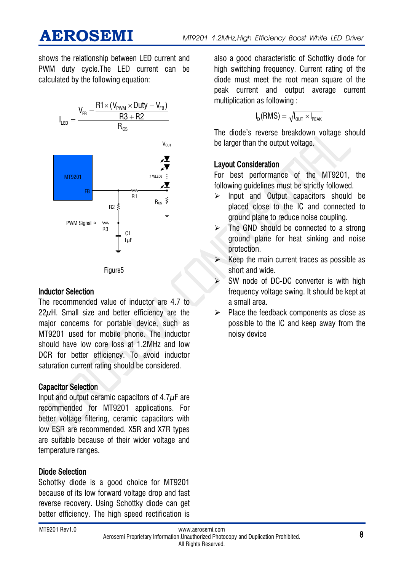shows the relationship between LED current and PWM duty cycle.The LED current can be calculated by the following equation:



#### Figure5

#### Inductor Selection

The recommended value of inductor are 4.7 to  $22\mu$ H. Small size and better efficiency are the major concerns for portable device, such as MT9201 used for mobile phone. The inductor should have low core loss at 1.2MHz and low DCR for better efficiency. To avoid inductor saturation current rating should be considered.

#### Capacitor Selection

Input and output ceramic capacitors of  $4.7\mu$ F are recommended for MT9201 applications. For better voltage filtering, ceramic capacitors with low ESR are recommended. X5R and X7R types are suitable because of their wider voltage and temperature ranges.

#### Diode Selection

Schottky diode is a good choice for MT9201 because of its low forward voltage drop and fast reverse recovery. Using Schottky diode can get better efficiency. The high speed rectification is

also a good characteristic of Schottky diode for high switching frequency. Current rating of the diode must meet the root mean square of the peak current and output average current multiplication as following :

$$
I_D(RMS) = \sqrt{I_{\text{OUT}} \times I_{\text{PEAK}}}
$$

The diode's reverse breakdown voltage should be larger than the output voltage.

#### Layout Consideration

For best performance of the MT9201, the following guidelines must be strictly followed.

- $\triangleright$  Input and Output capacitors should be placed close to the IC and connected to ground plane to reduce noise coupling.
- The GND should be connected to a strong ground plane for heat sinking and noise protection.
- Keep the main current traces as possible as short and wide.
- SW node of DC-DC converter is with high frequency voltage swing. It should be kept at a small area.
- $\triangleright$  Place the feedback components as close as possible to the IC and keep away from the noisy device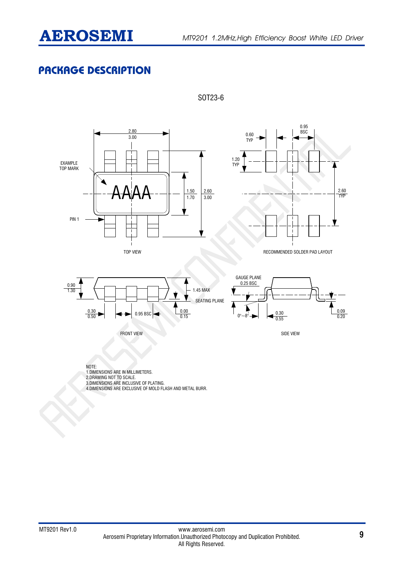## **PACKAGE DESCRIPTION**



SOT23-6

4.DIMENSIONS ARE EXCLUSIVE OF MOLD FLASH AND METAL BURR.